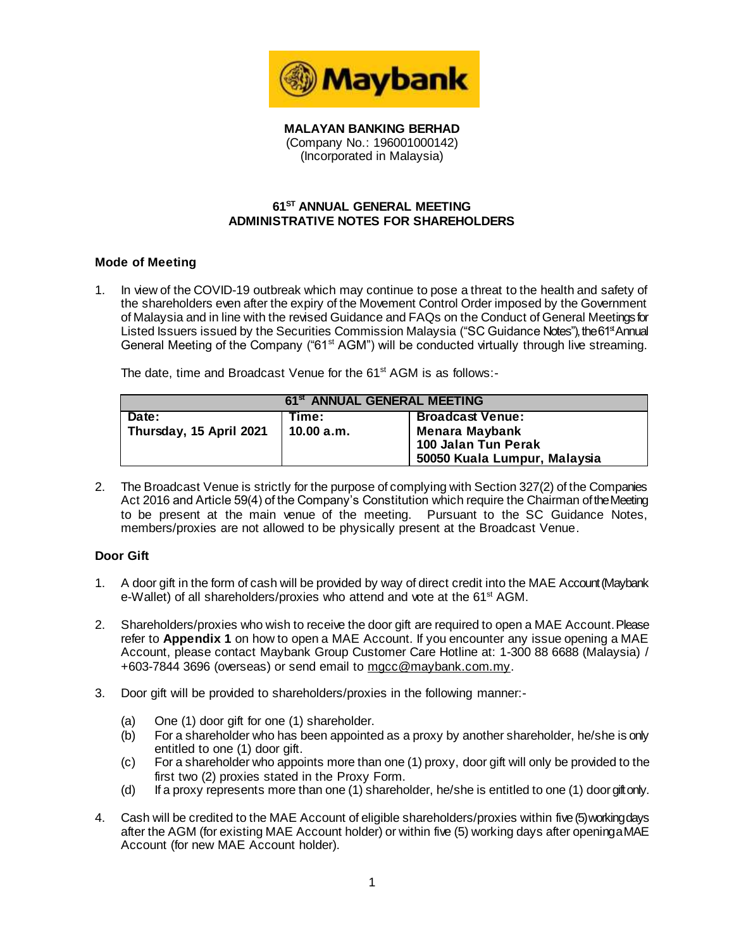

**MALAYAN BANKING BERHAD** (Company No.: 196001000142) (Incorporated in Malaysia)

### **61 ST ANNUAL GENERAL MEETING ADMINISTRATIVE NOTES FOR SHAREHOLDERS**

#### **Mode of Meeting**

1. In view of the COVID-19 outbreak which may continue to pose a threat to the health and safety of the shareholders even after the expiry of the Movement Control Order imposed by the Government of Malaysia and in line with the revised Guidance and FAQs on the Conduct of General Meetings for Listed Issuers issued by the Securities Commission Malaysia ("SC Guidance Notes"), the 61<sup>st</sup> Annual General Meeting of the Company ("61<sup>st</sup> AGM") will be conducted virtually through live streaming.

The date, time and Broadcast Venue for the 61<sup>st</sup> AGM is as follows:-

| 61 <sup>st</sup> ANNUAL GENERAL MEETING |              |                              |  |
|-----------------------------------------|--------------|------------------------------|--|
| Date:                                   | Time:        | <b>Broadcast Venue:</b>      |  |
| Thursday, 15 April 2021                 | 10.00 $a.m.$ | Menara Maybank               |  |
|                                         |              | 100 Jalan Tun Perak          |  |
|                                         |              | 50050 Kuala Lumpur, Malaysia |  |

2. The Broadcast Venue is strictly for the purpose of complying with Section 327(2) of the Companies Act 2016 and Article 59(4) of the Company's Constitution which require the Chairman of the Meeting to be present at the main venue of the meeting. Pursuant to the SC Guidance Notes, members/proxies are not allowed to be physically present at the Broadcast Venue.

#### **Door Gift**

- 1. A door gift in the form of cash will be provided by way of direct credit into the MAE Account (Maybank e-Wallet) of all shareholders/proxies who attend and vote at the 61<sup>st</sup> AGM.
- 2. Shareholders/proxies who wish to receive the door gift are required to open a MAE Account. Please refer to **Appendix 1** on how to open a MAE Account. If you encounter any issue opening a MAE Account, please contact Maybank Group Customer Care Hotline at: 1-300 88 6688 (Malaysia) / +603-7844 3696 (overseas) or send email to mgcc@maybank.com.my.
- 3. Door gift will be provided to shareholders/proxies in the following manner:-
	- (a) One (1) door gift for one (1) shareholder.
	- (b) For a shareholder who has been appointed as a proxy by another shareholder, he/she is only entitled to one (1) door gift.
	- (c) For a shareholder who appoints more than one (1) proxy, door gift will only be provided to the first two (2) proxies stated in the Proxy Form.
	- (d) If a proxy represents more than one (1) shareholder, he/she is entitled to one (1) door gift only.
- 4. Cash will be credited to the MAE Account of eligible shareholders/proxies within five (5)working days after the AGM (for existing MAE Account holder) or within five (5) working days after opening a MAE Account (for new MAE Account holder).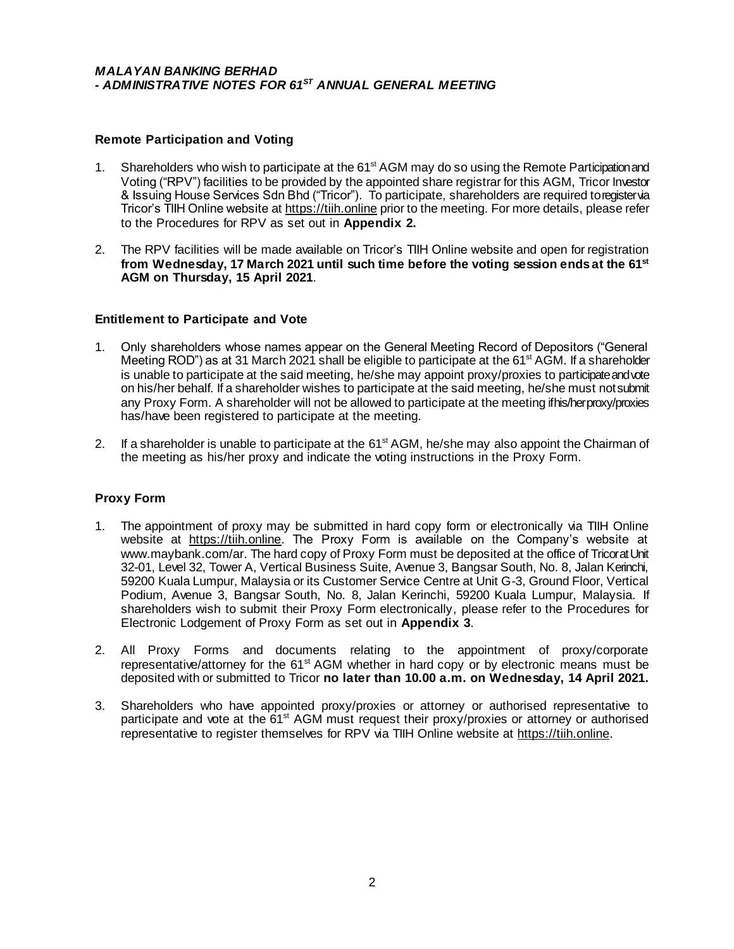#### **Remote Participation and Voting**

- 1. Shareholders who wish to participate at the 61<sup>st</sup> AGM may do so using the Remote Participation and Voting ("RPV") facilities to be provided by the appointed share registrar for this AGM, Tricor Investor & Issuing House Services Sdn Bhd ("Tricor"). To participate, shareholders are required to register via Tricor's TIIH Online website at [https://tiih.online](https://tiih.online/) prior to the meeting. For more details, please refer to the Procedures for RPV as set out in **Appendix 2.**
- 2. The RPV facilities will be made available on Tricor's TIIH Online website and open for registration **from Wednesday, 17 March 2021 until such time before the voting session ends at the 61st AGM on Thursday, 15 April 2021**.

#### **Entitlement to Participate and Vote**

- 1. Only shareholders whose names appear on the General Meeting Record of Depositors ("General Meeting ROD") as at 31 March 2021 shall be eligible to participate at the 61<sup>st</sup> AGM. If a shareholder is unable to participate at the said meeting, he/she may appoint proxy/proxies to participate and vote on his/her behalf. If a shareholder wishes to participate at the said meeting, he/she must not submit any Proxy Form. A shareholder will not be allowed to participate at the meeting if his/herproxy/proxies has/have been registered to participate at the meeting.
- 2. If a shareholder is unable to participate at the 61<sup>st</sup> AGM, he/she may also appoint the Chairman of the meeting as his/her proxy and indicate the voting instructions in the Proxy Form.

#### **Proxy Form**

- 1. The appointment of proxy may be submitted in hard copy form or electronically via TIIH Online website at https://tiih.online. The Proxy Form is available on the Company's website at [www.maybank.com/ar](http://www.maybank.com/ar). The hard copy of Proxy Form must be deposited at the office of Tricor at Unit 32-01, Level 32, Tower A, Vertical Business Suite, Avenue 3, Bangsar South, No. 8, Jalan Kerinchi, 59200 Kuala Lumpur, Malaysia or its Customer Service Centre at Unit G-3, Ground Floor, Vertical Podium, Avenue 3, Bangsar South, No. 8, Jalan Kerinchi, 59200 Kuala Lumpur, Malaysia. If shareholders wish to submit their Proxy Form electronically, please refer to the Procedures for Electronic Lodgement of Proxy Form as set out in **Appendix 3**.
- 2. All Proxy Forms and documents relating to the appointment of proxy/corporate representative/attorney for the  $61<sup>st</sup> AGM$  whether in hard copy or by electronic means must be deposited with or submitted to Tricor **no later than 10.00 a.m. on Wednesday, 14 April 2021.**
- 3. Shareholders who have appointed proxy/proxies or attorney or authorised representative to participate and vote at the 61<sup>st</sup> AGM must request their proxy/proxies or attorney or authorised representative to register themselves for RPV via TIIH Online website [at https://tiih.onli](https://tiih.online/)ne.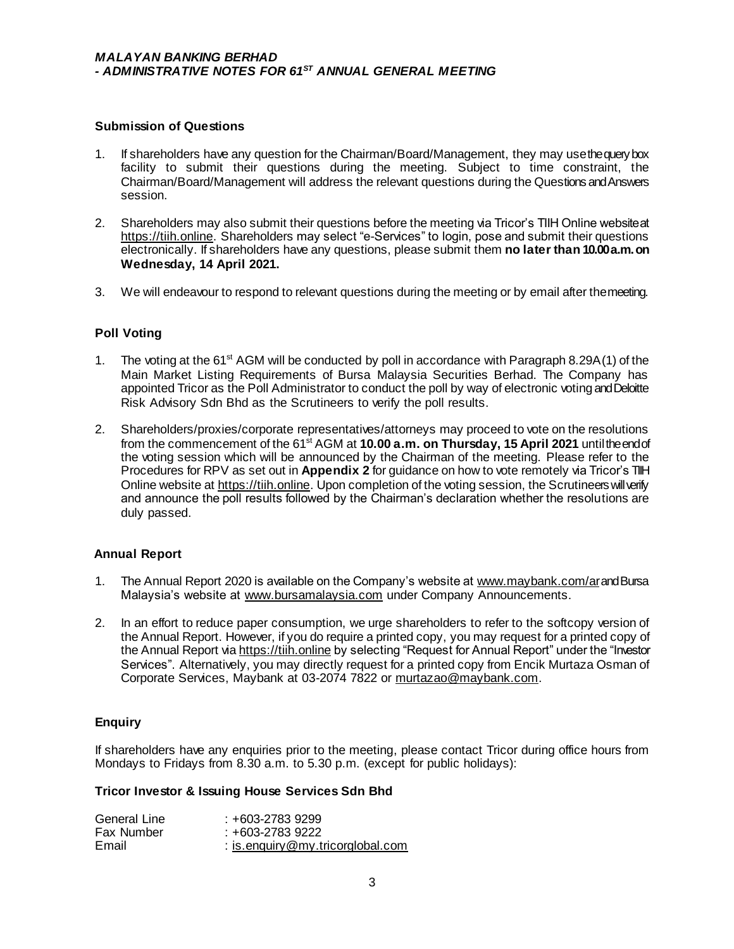#### **Submission of Questions**

- 1. If shareholders have any question for the Chairman/Board/Management, they may use the query box facility to submit their questions during the meeting. Subject to time constraint, the Chairman/Board/Management will address the relevant questions during the Questions and Answers session.
- 2. Shareholders may also submit their questions before the meeting via Tricor's TIIH Online website at [https://tiih.online](https://tiih.online/). Shareholders may select "e-Services" to login, pose and submit their questions electronically. If shareholders have any questions, please submit them **no later than 10.00 a.m. on Wednesday, 14 April 2021.**
- 3. We will endeavour to respond to relevant questions during the meeting or by email after the meeting.

#### **Poll Voting**

- 1. The voting at the 61<sup>st</sup> AGM will be conducted by poll in accordance with Paragraph 8.29A(1) of the Main Market Listing Requirements of Bursa Malaysia Securities Berhad. The Company has appointed Tricor as the Poll Administrator to conduct the poll by way of electronic voting and Deloitte Risk Advisory Sdn Bhd as the Scrutineers to verify the poll results.
- 2. Shareholders/proxies/corporate representatives/attorneys may proceed to vote on the resolutions from the commencement of the 61<sup>st</sup> AGM at 10.00 a.m. on Thursday, 15 April 2021 until the end of the voting session which will be announced by the Chairman of the meeting. Please refer to the Procedures for RPV as set out in **Appendix 2** for guidance on how to vote remotely via Tricor's TIIH Online website a[t https://tiih.online](https://tiih.online/). Upon completion of the voting session, the Scrutineers will verify and announce the poll results followed by the Chairman's declaration whether the resolutions are duly passed.

#### **Annual Report**

- 1. The Annual Report 2020 is available on the Company's website [at www.maybank.com/a](http://www.maybank.com/ar)rand Bursa Malaysia's website at www.bursamalaysia.com under Company Announcements.
- 2. In an effort to reduce paper consumption, we urge shareholders to refer to the softcopy version of the Annual Report. However, if you do require a printed copy, you may request for a printed copy of the Annual Report via [https://tiih.online](https://tiih.online/) by selecting "Request for Annual Report" under the "Investor Services". Alternatively, you may directly request for a printed copy from Encik Murtaza Osman of Corporate Services, Maybank at 03-2074 7822 [or murtazao@maybank.co](mailto:murtazao@maybank.com)m.

#### **Enquiry**

If shareholders have any enquiries prior to the meeting, please contact Tricor during office hours from Mondays to Fridays from 8.30 a.m. to 5.30 p.m. (except for public holidays):

#### **Tricor Investor & Issuing House Services Sdn Bhd**

| General Line | +603-2783 9299                       |
|--------------|--------------------------------------|
| Fax Number   | : +603-2783 9222                     |
| Email        | : is enquiry $@$ my tricorglobal com |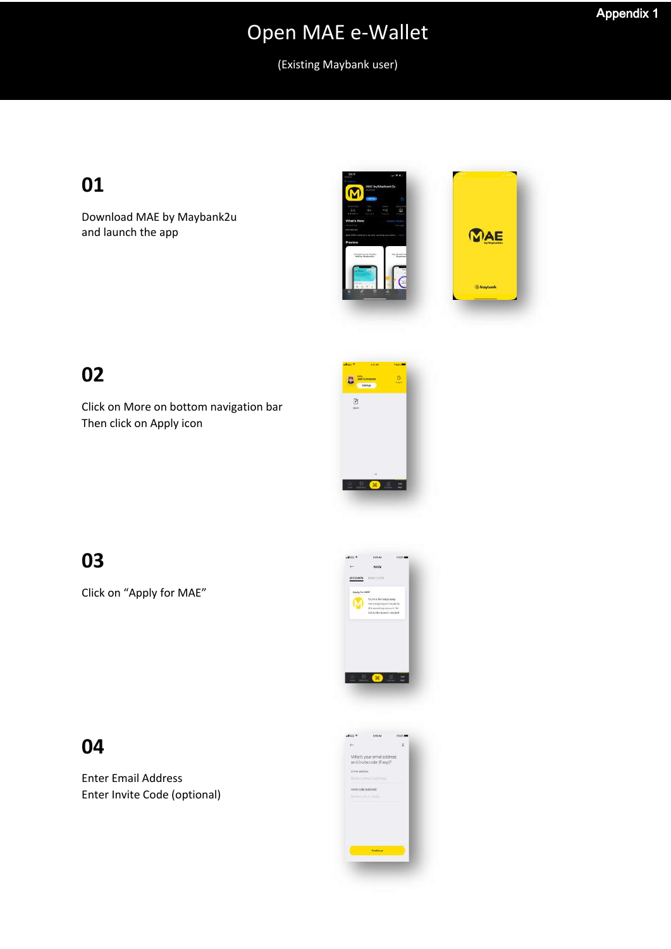### **A**ppendix 1

# Open MAE e-Wallet

(Existing Maybank user)

## **01**

Download MAE by Maybank2u and launch the app



### **02**

Click on More on bottom navigation bar Then click on Apply icon



### **03**

Click on "Apply for MAE"



### **04**

Enter Email Address Enter Invite Code (optional)

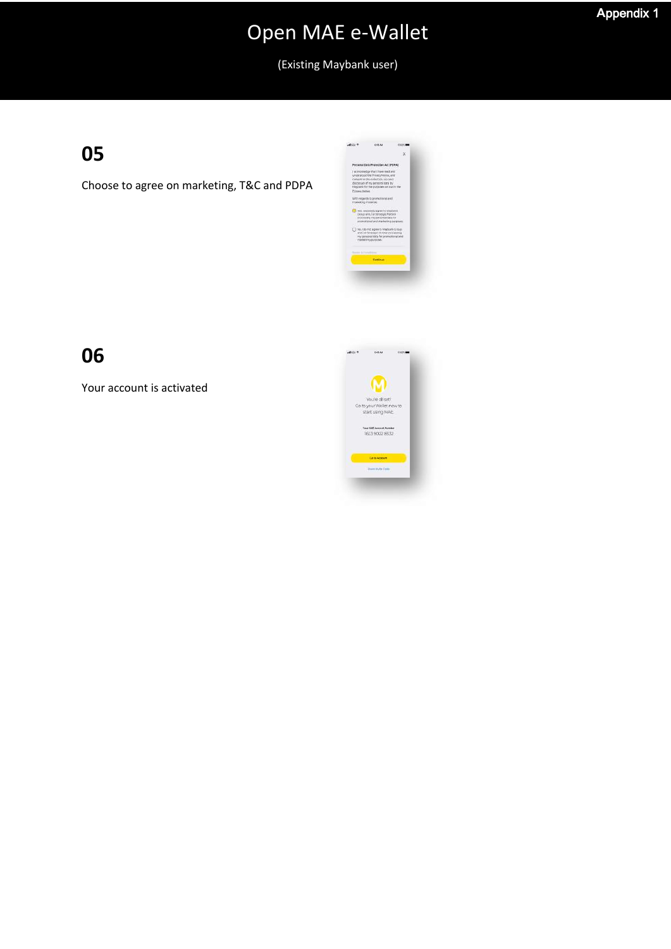(Existing Maybank user)

## **05**

Choose to agree on marketing, T&C and PDPA



## **06**

Your account is activated

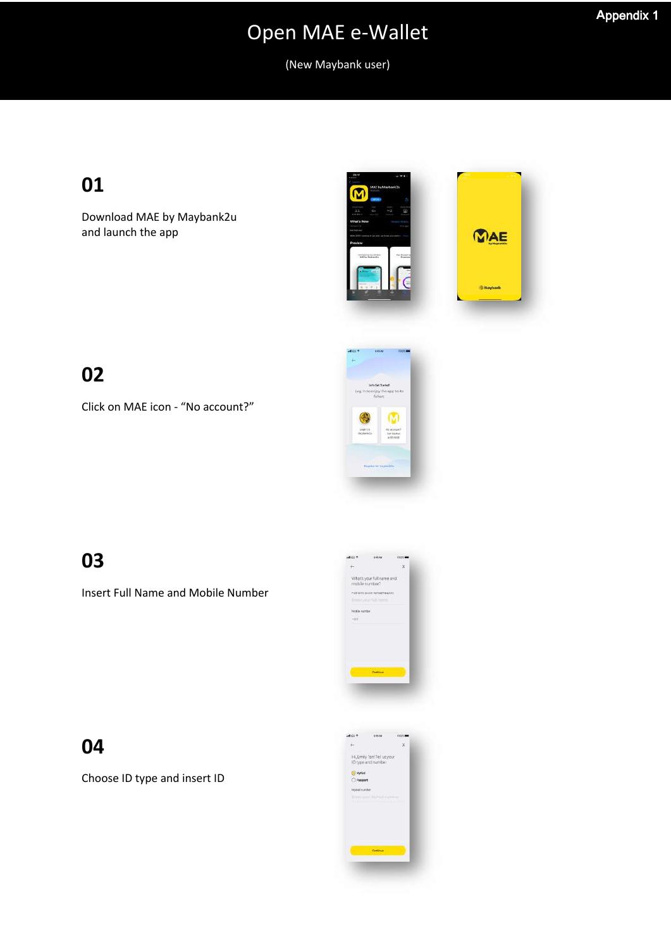**A**ppendix 1

(New Maybank user)

## **01**

Download MAE by Maybank2u and launch the app



### **02**

Click on MAE icon - "No account?"



## **03**

Insert Full Name and Mobile Number



### **04**

Choose ID type and insert ID

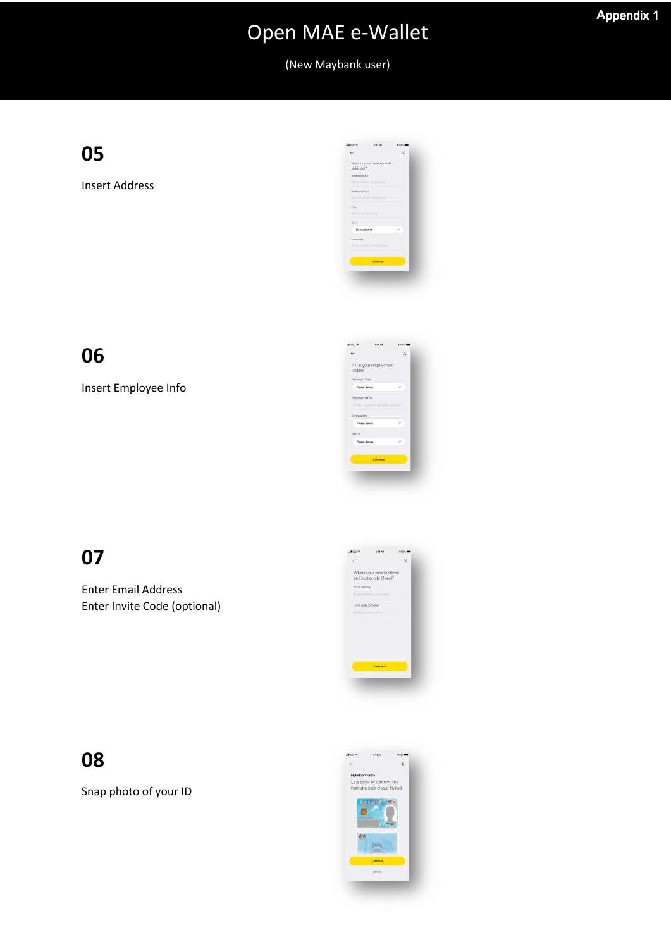(New Maybank user)

**05**

Insert Address



**06**

Insert Employee Info



## **07**

Enter Email Address Enter Invite Code (optional)



### **08**

Snap photo of your ID

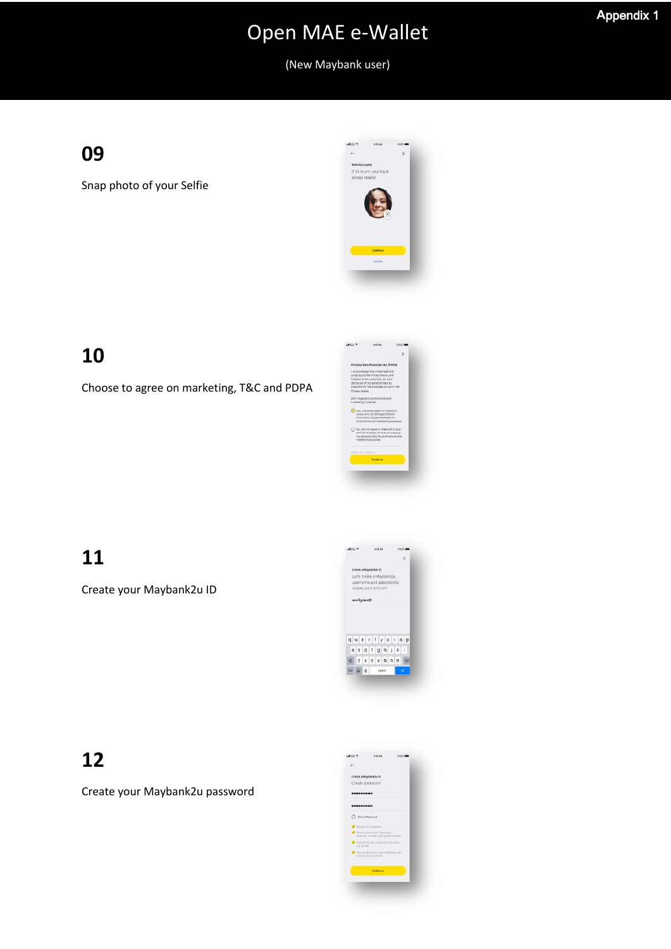### **A**ppendix 1

# Open MAE e-Wallet

(New Maybank user)

## **09**

Snap photo of your Selfie



## **10**

Choose to agree on marketing, T&C and PDPA



## **11**

Create your Maybank2u ID



### **12**

Create your Maybank2u password

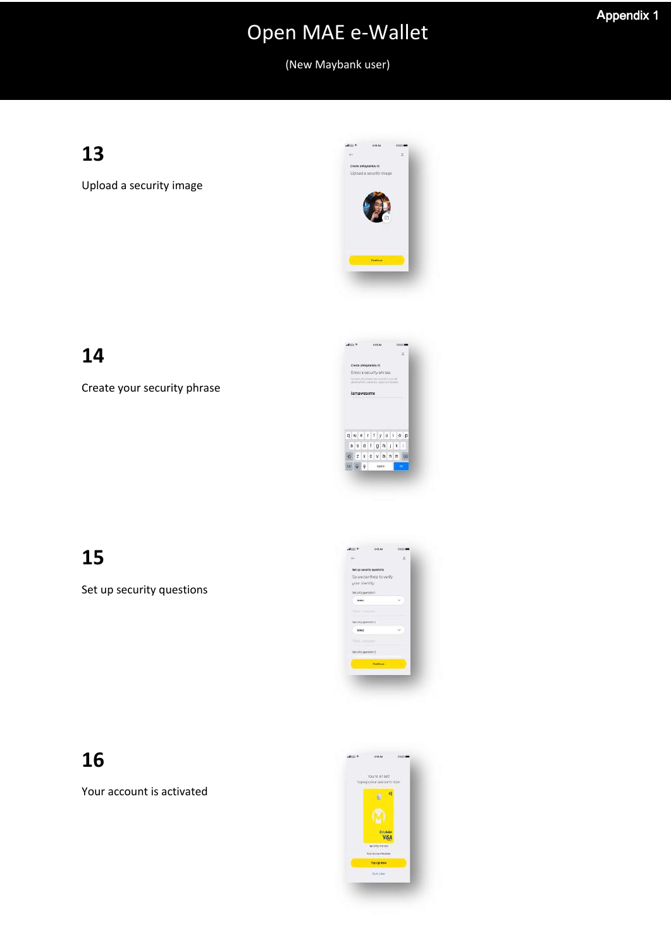(New Maybank user)

## **13**

Upload a security image



## **14**

Create your security phrase



## **15**

Set up security questions



## **16**

Your account is activated

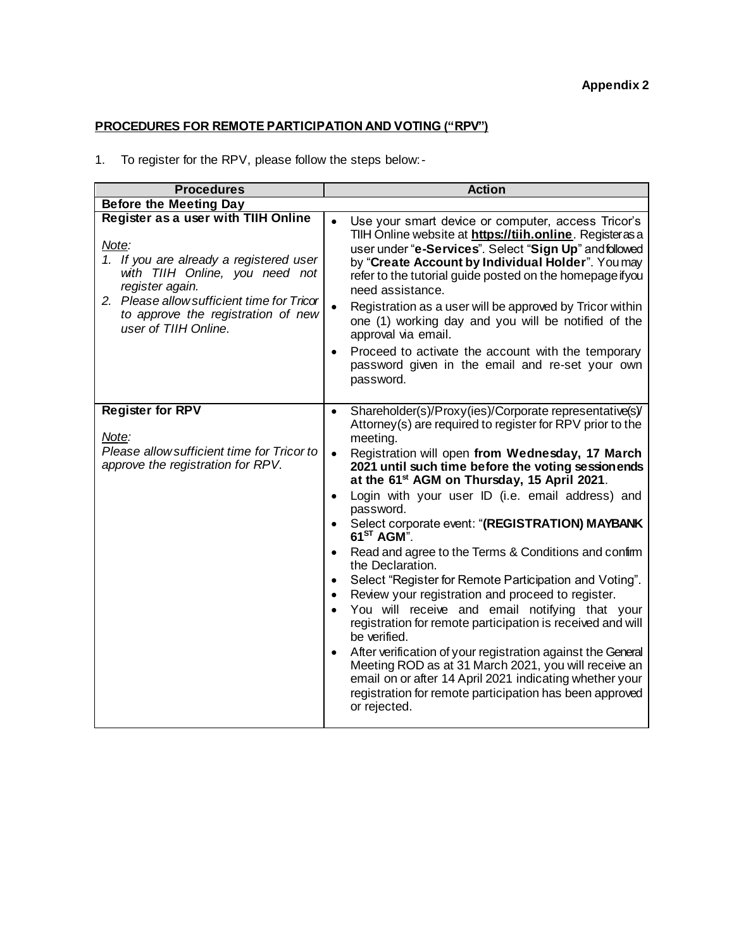### **PROCEDURES FOR REMOTE PARTICIPATION AND VOTING ("RPV")**

1. To register for the RPV, please follow the steps below:-

| <b>Procedures</b>                                                                                                                                                                                                                                        | <b>Action</b>                                                                                                                                                                                                                                                                                                                                                                                                                                                                                                                                                                                                                                                                                                                                                                                                                                                                                                                                                                                                                                                                                                                 |
|----------------------------------------------------------------------------------------------------------------------------------------------------------------------------------------------------------------------------------------------------------|-------------------------------------------------------------------------------------------------------------------------------------------------------------------------------------------------------------------------------------------------------------------------------------------------------------------------------------------------------------------------------------------------------------------------------------------------------------------------------------------------------------------------------------------------------------------------------------------------------------------------------------------------------------------------------------------------------------------------------------------------------------------------------------------------------------------------------------------------------------------------------------------------------------------------------------------------------------------------------------------------------------------------------------------------------------------------------------------------------------------------------|
| <b>Before the Meeting Day</b>                                                                                                                                                                                                                            |                                                                                                                                                                                                                                                                                                                                                                                                                                                                                                                                                                                                                                                                                                                                                                                                                                                                                                                                                                                                                                                                                                                               |
| Register as a user with TIIH Online<br>Note:<br>1. If you are already a registered user<br>with TIIH Online, you need not<br>register again.<br>2. Please allow sufficient time for Tricor<br>to approve the registration of new<br>user of TIIH Online. | Use your smart device or computer, access Tricor's<br>TIIH Online website at https://tiih.online. Registerasa<br>user under "e-Services". Select "Sign Up" and followed<br>by "Create Account by Individual Holder". You may<br>refer to the tutorial guide posted on the homepage ifyou<br>need assistance.<br>Registration as a user will be approved by Tricor within<br>$\bullet$<br>one (1) working day and you will be notified of the<br>approval via email.<br>Proceed to activate the account with the temporary<br>٠<br>password given in the email and re-set your own<br>password.                                                                                                                                                                                                                                                                                                                                                                                                                                                                                                                                |
| <b>Register for RPV</b><br>Note:<br>Please allow sufficient time for Tricor to<br>approve the registration for RPV.                                                                                                                                      | Shareholder(s)/Proxy(ies)/Corporate representative(s)/<br>$\bullet$<br>Attorney(s) are required to register for RPV prior to the<br>meeting.<br>Registration will open from Wednesday, 17 March<br>$\bullet$<br>2021 until such time before the voting sessionends<br>at the 61 <sup>st</sup> AGM on Thursday, 15 April 2021.<br>Login with your user ID (i.e. email address) and<br>$\bullet$<br>password.<br>Select corporate event: "(REGISTRATION) MAYBANK<br>$\bullet$<br>$61^{ST}$ AGM".<br>Read and agree to the Terms & Conditions and confirm<br>the Declaration.<br>Select "Register for Remote Participation and Voting".<br>$\bullet$<br>Review your registration and proceed to register.<br>$\bullet$<br>You will receive and email notifying that your<br>registration for remote participation is received and will<br>be verified.<br>After verification of your registration against the General<br>$\bullet$<br>Meeting ROD as at 31 March 2021, you will receive an<br>email on or after 14 April 2021 indicating whether your<br>registration for remote participation has been approved<br>or rejected. |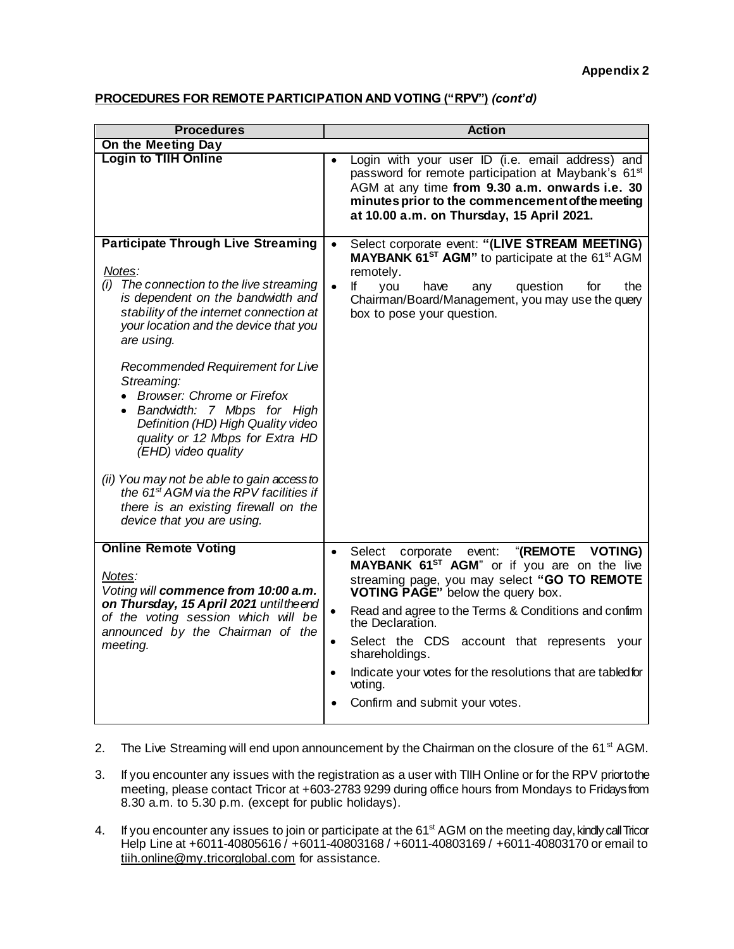### **PROCEDURES FOR REMOTE PARTICIPATION AND VOTING ("RPV")** *(cont'd)*

| <b>Procedures</b>                                                                                                                                                                                                                                                                                                                                                                                                                                                                                                                                                                                                                          | <b>Action</b>                                                                                                                                                                                                                                                                                              |
|--------------------------------------------------------------------------------------------------------------------------------------------------------------------------------------------------------------------------------------------------------------------------------------------------------------------------------------------------------------------------------------------------------------------------------------------------------------------------------------------------------------------------------------------------------------------------------------------------------------------------------------------|------------------------------------------------------------------------------------------------------------------------------------------------------------------------------------------------------------------------------------------------------------------------------------------------------------|
| On the Meeting Day                                                                                                                                                                                                                                                                                                                                                                                                                                                                                                                                                                                                                         |                                                                                                                                                                                                                                                                                                            |
| <b>Login to TIIH Online</b>                                                                                                                                                                                                                                                                                                                                                                                                                                                                                                                                                                                                                | Login with your user ID (i.e. email address) and<br>password for remote participation at Maybank's 61 <sup>st</sup><br>AGM at any time from 9.30 a.m. onwards i.e. 30<br>minutes prior to the commencement of the meeting<br>at 10.00 a.m. on Thursday, 15 April 2021.                                     |
| <b>Participate Through Live Streaming</b><br>Notes:<br>The connection to the live streaming<br>(i)<br>is dependent on the bandwidth and<br>stability of the internet connection at<br>your location and the device that you<br>are using.<br>Recommended Requirement for Live<br>Streaming:<br><b>Browser: Chrome or Firefox</b><br>• Bandwidth: 7 Mbps for High<br>Definition (HD) High Quality video<br>quality or 12 Mbps for Extra HD<br>(EHD) video quality<br>(ii) You may not be able to gain access to<br>the 61 <sup>st</sup> AGM via the RPV facilities if<br>there is an existing firewall on the<br>device that you are using. | Select corporate event: "(LIVE STREAM MEETING)<br>$\bullet$<br>MAYBANK 61 <sup>ST</sup> AGM" to participate at the 61 <sup>st</sup> AGM<br>remotely.<br>question<br>the<br>$\bullet$<br>lf.<br>you<br>for<br>have<br>any<br>Chairman/Board/Management, you may use the query<br>box to pose your question. |
| <b>Online Remote Voting</b>                                                                                                                                                                                                                                                                                                                                                                                                                                                                                                                                                                                                                | "(REMOTE VOTING)<br>Select corporate<br>event:                                                                                                                                                                                                                                                             |
| Notes:<br>Voting will commence from 10:00 a.m.<br>on Thursday, 15 April 2021 until the end<br>of the voting session which will be<br>announced by the Chairman of the<br>meeting.                                                                                                                                                                                                                                                                                                                                                                                                                                                          | MAYBANK 61 <sup>ST</sup> AGM" or if you are on the live<br>streaming page, you may select "GO TO REMOTE<br>VOTING PAGE" below the query box.                                                                                                                                                               |
|                                                                                                                                                                                                                                                                                                                                                                                                                                                                                                                                                                                                                                            | Read and agree to the Terms & Conditions and confirm<br>$\bullet$<br>the Declaration.                                                                                                                                                                                                                      |
|                                                                                                                                                                                                                                                                                                                                                                                                                                                                                                                                                                                                                                            | Select the CDS account that represents your<br>$\bullet$<br>shareholdings.                                                                                                                                                                                                                                 |
|                                                                                                                                                                                                                                                                                                                                                                                                                                                                                                                                                                                                                                            | Indicate your votes for the resolutions that are tabled for<br>voting.                                                                                                                                                                                                                                     |
|                                                                                                                                                                                                                                                                                                                                                                                                                                                                                                                                                                                                                                            | Confirm and submit your votes.                                                                                                                                                                                                                                                                             |

- 2. The Live Streaming will end upon announcement by the Chairman on the closure of the 61<sup>st</sup> AGM.
- 3. If you encounter any issues with the registration as a user with TIIH Online or for the RPV priortothe meeting, please contact Tricor at +603-2783 9299 during office hours from Mondays to Fridays from 8.30 a.m. to 5.30 p.m. (except for public holidays).
- 4. If you encounter any issues to join or participate at the 61<sup>st</sup> AGM on the meeting day, kindly call Tricor Help Line at +6011-40805616 / +6011-40803168 / +6011-40803169 / +6011-40803170 or email to [tiih.online@my.tricorglobal.com](mailto:tiih.online@my.tricorglobal.com) for assistance.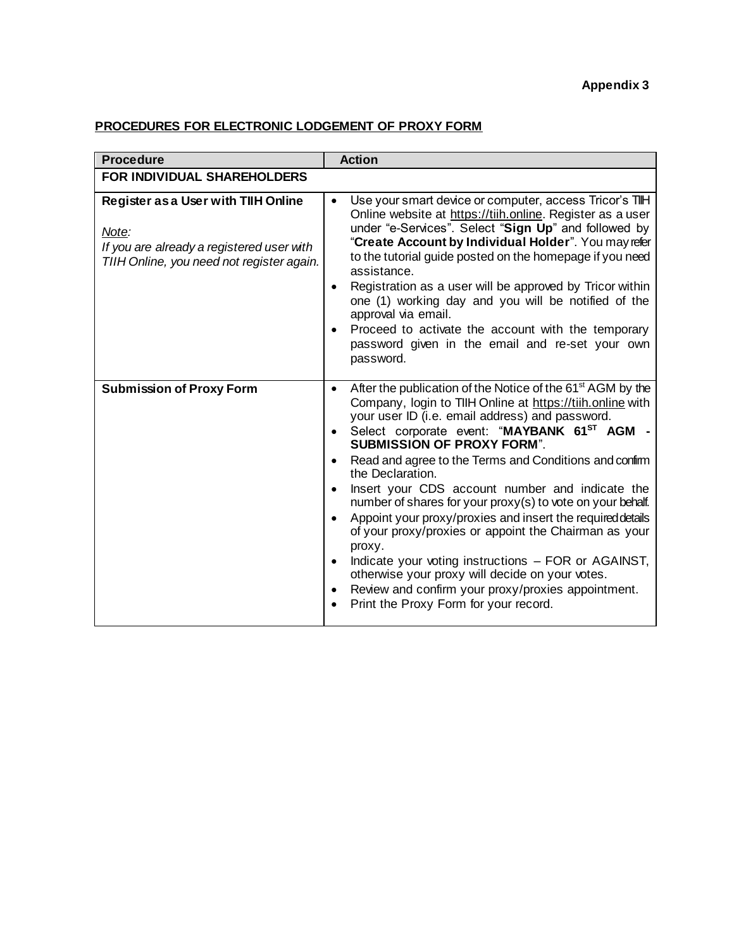### **Appendix 3**

### **PROCEDURES FOR ELECTRONIC LODGEMENT OF PROXY FORM**

| <b>Procedure</b>                                                                                                                              | <b>Action</b>                                                                                                                                                                                                                                                                                                                                                                                                                                                                                                                                                                                                                                                                                                                                                                                                                                              |
|-----------------------------------------------------------------------------------------------------------------------------------------------|------------------------------------------------------------------------------------------------------------------------------------------------------------------------------------------------------------------------------------------------------------------------------------------------------------------------------------------------------------------------------------------------------------------------------------------------------------------------------------------------------------------------------------------------------------------------------------------------------------------------------------------------------------------------------------------------------------------------------------------------------------------------------------------------------------------------------------------------------------|
| FOR INDIVIDUAL SHAREHOLDERS                                                                                                                   |                                                                                                                                                                                                                                                                                                                                                                                                                                                                                                                                                                                                                                                                                                                                                                                                                                                            |
| <b>Register as a User with TIIH Online</b><br>Note:<br>If you are already a registered user with<br>TIIH Online, you need not register again. | Use your smart device or computer, access Tricor's TIH<br>$\bullet$<br>Online website at https://tiih.online. Register as a user<br>under "e-Services". Select "Sign Up" and followed by<br>"Create Account by Individual Holder". You may refer<br>to the tutorial guide posted on the homepage if you need<br>assistance.<br>Registration as a user will be approved by Tricor within<br>$\bullet$<br>one (1) working day and you will be notified of the<br>approval via email.<br>Proceed to activate the account with the temporary<br>password given in the email and re-set your own<br>password.                                                                                                                                                                                                                                                   |
| <b>Submission of Proxy Form</b>                                                                                                               | After the publication of the Notice of the 61 <sup>st</sup> AGM by the<br>$\bullet$<br>Company, login to TIIH Online at https://tiih.online with<br>your user ID (i.e. email address) and password.<br>Select corporate event: "MAYBANK 61ST AGM -<br>$\bullet$<br><b>SUBMISSION OF PROXY FORM".</b><br>Read and agree to the Terms and Conditions and confirm<br>the Declaration.<br>Insert your CDS account number and indicate the<br>number of shares for your proxy(s) to vote on your behalf.<br>Appoint your proxy/proxies and insert the required details<br>of your proxy/proxies or appoint the Chairman as your<br>proxy.<br>Indicate your voting instructions - FOR or AGAINST,<br>otherwise your proxy will decide on your votes.<br>Review and confirm your proxy/proxies appointment.<br>$\bullet$<br>Print the Proxy Form for your record. |